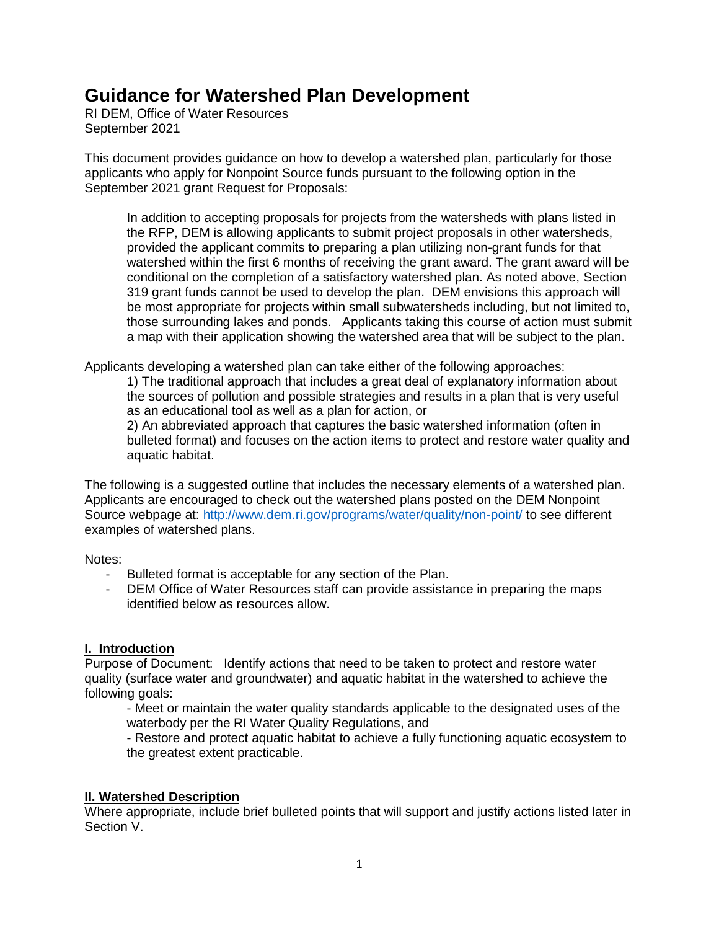# **Guidance for Watershed Plan Development**

RI DEM, Office of Water Resources September 2021

This document provides guidance on how to develop a watershed plan, particularly for those applicants who apply for Nonpoint Source funds pursuant to the following option in the September 2021 grant Request for Proposals:

In addition to accepting proposals for projects from the watersheds with plans listed in the RFP, DEM is allowing applicants to submit project proposals in other watersheds, provided the applicant commits to preparing a plan utilizing non-grant funds for that watershed within the first 6 months of receiving the grant award. The grant award will be conditional on the completion of a satisfactory watershed plan. As noted above, Section 319 grant funds cannot be used to develop the plan. DEM envisions this approach will be most appropriate for projects within small subwatersheds including, but not limited to, those surrounding lakes and ponds. Applicants taking this course of action must submit a map with their application showing the watershed area that will be subject to the plan.

Applicants developing a watershed plan can take either of the following approaches:

1) The traditional approach that includes a great deal of explanatory information about the sources of pollution and possible strategies and results in a plan that is very useful as an educational tool as well as a plan for action, or

2) An abbreviated approach that captures the basic watershed information (often in bulleted format) and focuses on the action items to protect and restore water quality and aquatic habitat.

The following is a suggested outline that includes the necessary elements of a watershed plan. Applicants are encouraged to check out the watershed plans posted on the DEM Nonpoint Source webpage at:<http://www.dem.ri.gov/programs/water/quality/non-point/> to see different examples of watershed plans.

Notes:

- Bulleted format is acceptable for any section of the Plan.
- DEM Office of Water Resources staff can provide assistance in preparing the maps identified below as resources allow.

## **I. Introduction**

Purpose of Document: Identify actions that need to be taken to protect and restore water quality (surface water and groundwater) and aquatic habitat in the watershed to achieve the following goals:

- Meet or maintain the water quality standards applicable to the designated uses of the waterbody per the RI Water Quality Regulations, and

- Restore and protect aquatic habitat to achieve a fully functioning aquatic ecosystem to the greatest extent practicable.

#### **II. Watershed Description**

Where appropriate, include brief bulleted points that will support and justify actions listed later in Section V.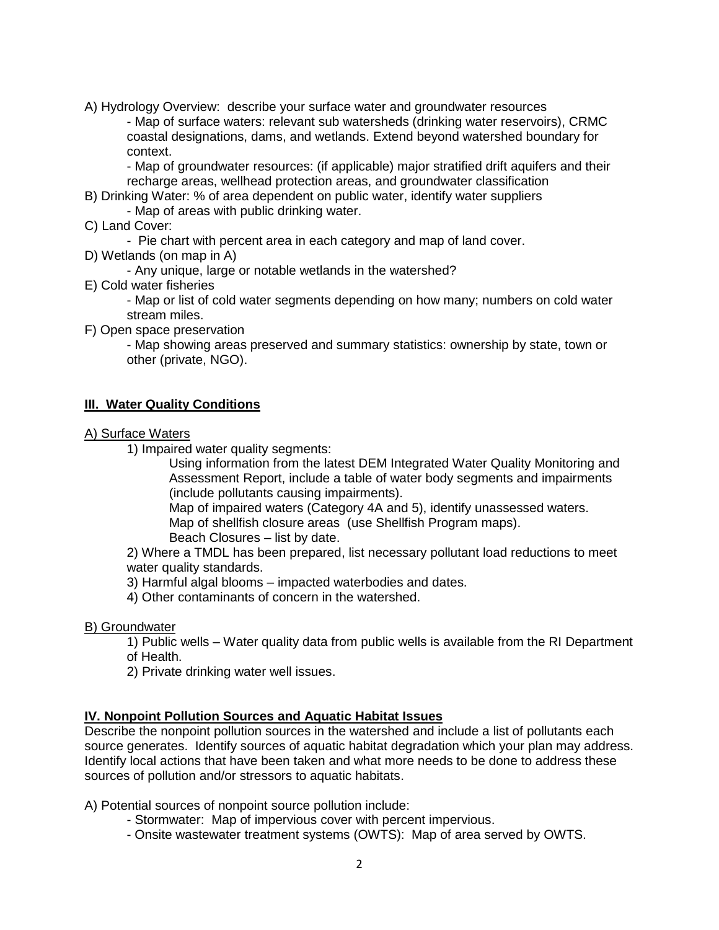A) Hydrology Overview: describe your surface water and groundwater resources

- Map of surface waters: relevant sub watersheds (drinking water reservoirs), CRMC coastal designations, dams, and wetlands. Extend beyond watershed boundary for context.

- Map of groundwater resources: (if applicable) major stratified drift aquifers and their recharge areas, wellhead protection areas, and groundwater classification

- B) Drinking Water: % of area dependent on public water, identify water suppliers - Map of areas with public drinking water.
- C) Land Cover:

- Pie chart with percent area in each category and map of land cover.

D) Wetlands (on map in A)

- Any unique, large or notable wetlands in the watershed?

E) Cold water fisheries

- Map or list of cold water segments depending on how many; numbers on cold water stream miles.

F) Open space preservation

- Map showing areas preserved and summary statistics: ownership by state, town or other (private, NGO).

#### **III. Water Quality Conditions**

- A) Surface Waters
	- 1) Impaired water quality segments:

Using information from the latest DEM Integrated Water Quality Monitoring and Assessment Report, include a table of water body segments and impairments (include pollutants causing impairments).

Map of impaired waters (Category 4A and 5), identify unassessed waters. Map of shellfish closure areas (use Shellfish Program maps).

Beach Closures – list by date.

2) Where a TMDL has been prepared, list necessary pollutant load reductions to meet water quality standards.

3) Harmful algal blooms – impacted waterbodies and dates.

4) Other contaminants of concern in the watershed.

#### B) Groundwater

1) Public wells – Water quality data from public wells is available from the RI Department of Health.

2) Private drinking water well issues.

#### **IV. Nonpoint Pollution Sources and Aquatic Habitat Issues**

Describe the nonpoint pollution sources in the watershed and include a list of pollutants each source generates. Identify sources of aquatic habitat degradation which your plan may address. Identify local actions that have been taken and what more needs to be done to address these sources of pollution and/or stressors to aquatic habitats.

A) Potential sources of nonpoint source pollution include:

- Stormwater: Map of impervious cover with percent impervious.
- Onsite wastewater treatment systems (OWTS): Map of area served by OWTS.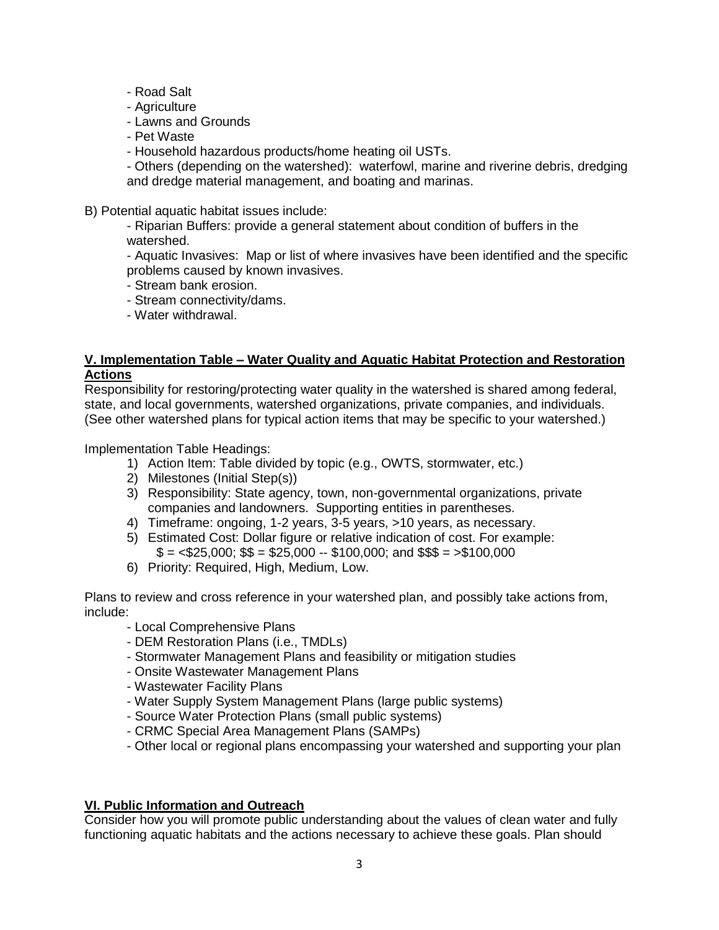- Road Salt
- Agriculture
- Lawns and Grounds
- Pet Waste
- Household hazardous products/home heating oil USTs.

- Others (depending on the watershed): waterfowl, marine and riverine debris, dredging and dredge material management, and boating and marinas.

B) Potential aquatic habitat issues include:

- Riparian Buffers: provide a general statement about condition of buffers in the watershed.

- Aquatic Invasives: Map or list of where invasives have been identified and the specific problems caused by known invasives.

- Stream bank erosion.
- Stream connectivity/dams.
- Water withdrawal.

#### **V. Implementation Table – Water Quality and Aquatic Habitat Protection and Restoration Actions**

Responsibility for restoring/protecting water quality in the watershed is shared among federal, state, and local governments, watershed organizations, private companies, and individuals. (See other watershed plans for typical action items that may be specific to your watershed.)

Implementation Table Headings:

- 1) Action Item: Table divided by topic (e.g., OWTS, stormwater, etc.)
- 2) Milestones (Initial Step(s))
- 3) Responsibility: State agency, town, non-governmental organizations, private companies and landowners. Supporting entities in parentheses.
- 4) Timeframe: ongoing, 1-2 years, 3-5 years, >10 years, as necessary.
- 5) Estimated Cost: Dollar figure or relative indication of cost. For example:  $$ = < $25,000$ ;  $$ = $25,000 - $100,000$ ; and  $$$ \$\$  $= > $100,000$
- 6) Priority: Required, High, Medium, Low.

Plans to review and cross reference in your watershed plan, and possibly take actions from, include:

- Local Comprehensive Plans
- DEM Restoration Plans (i.e., TMDLs)
- Stormwater Management Plans and feasibility or mitigation studies
- Onsite Wastewater Management Plans
- Wastewater Facility Plans
- Water Supply System Management Plans (large public systems)
- Source Water Protection Plans (small public systems)
- CRMC Special Area Management Plans (SAMPs)
- Other local or regional plans encompassing your watershed and supporting your plan

#### **VI. Public Information and Outreach**

Consider how you will promote public understanding about the values of clean water and fully functioning aquatic habitats and the actions necessary to achieve these goals. Plan should